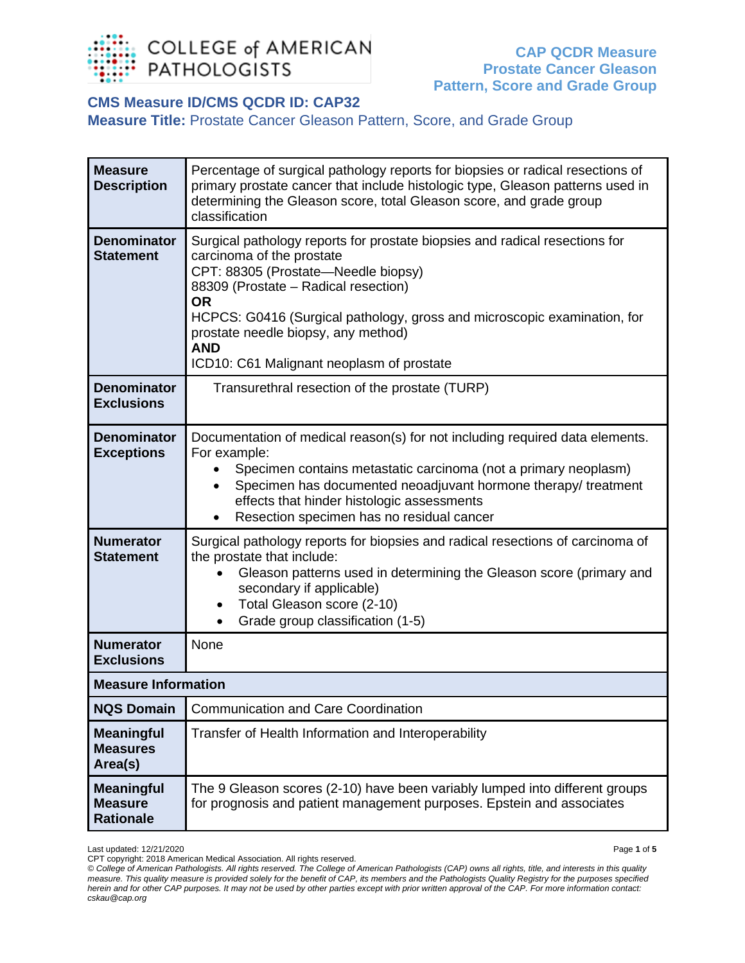

## **CMS Measure ID/CMS QCDR ID: CAP32**

**Measure Title:** Prostate Cancer Gleason Pattern, Score, and Grade Group

| <b>Measure</b><br><b>Description</b>                    | Percentage of surgical pathology reports for biopsies or radical resections of<br>primary prostate cancer that include histologic type, Gleason patterns used in<br>determining the Gleason score, total Gleason score, and grade group<br>classification                                                                                                                          |  |
|---------------------------------------------------------|------------------------------------------------------------------------------------------------------------------------------------------------------------------------------------------------------------------------------------------------------------------------------------------------------------------------------------------------------------------------------------|--|
| <b>Denominator</b><br><b>Statement</b>                  | Surgical pathology reports for prostate biopsies and radical resections for<br>carcinoma of the prostate<br>CPT: 88305 (Prostate-Needle biopsy)<br>88309 (Prostate - Radical resection)<br><b>OR</b><br>HCPCS: G0416 (Surgical pathology, gross and microscopic examination, for<br>prostate needle biopsy, any method)<br><b>AND</b><br>ICD10: C61 Malignant neoplasm of prostate |  |
| <b>Denominator</b><br><b>Exclusions</b>                 | Transurethral resection of the prostate (TURP)                                                                                                                                                                                                                                                                                                                                     |  |
| <b>Denominator</b><br><b>Exceptions</b>                 | Documentation of medical reason(s) for not including required data elements.<br>For example:<br>Specimen contains metastatic carcinoma (not a primary neoplasm)<br>Specimen has documented neoadjuvant hormone therapy/ treatment<br>effects that hinder histologic assessments<br>Resection specimen has no residual cancer<br>$\bullet$                                          |  |
| <b>Numerator</b><br><b>Statement</b>                    | Surgical pathology reports for biopsies and radical resections of carcinoma of<br>the prostate that include:<br>Gleason patterns used in determining the Gleason score (primary and<br>secondary if applicable)<br>Total Gleason score (2-10)<br>$\bullet$<br>Grade group classification (1-5)                                                                                     |  |
| <b>Numerator</b><br><b>Exclusions</b>                   | None                                                                                                                                                                                                                                                                                                                                                                               |  |
|                                                         | <b>Measure Information</b>                                                                                                                                                                                                                                                                                                                                                         |  |
| <b>NQS Domain</b>                                       | <b>Communication and Care Coordination</b>                                                                                                                                                                                                                                                                                                                                         |  |
| <b>Meaningful</b><br><b>Measures</b><br>Area(s)         | Transfer of Health Information and Interoperability                                                                                                                                                                                                                                                                                                                                |  |
| <b>Meaningful</b><br><b>Measure</b><br><b>Rationale</b> | The 9 Gleason scores (2-10) have been variably lumped into different groups<br>for prognosis and patient management purposes. Epstein and associates                                                                                                                                                                                                                               |  |

Last updated: 12/21/2020 Page **1** of **5** CPT copyright: 2018 American Medical Association. All rights reserved.

*<sup>©</sup> College of American Pathologists. All rights reserved. The College of American Pathologists (CAP) owns all rights, title, and interests in this quality measure. This quality measure is provided solely for the benefit of CAP, its members and the Pathologists Quality Registry for the purposes specified herein and for other CAP purposes. It may not be used by other parties except with prior written approval of the CAP. For more information contact: cskau@cap.org*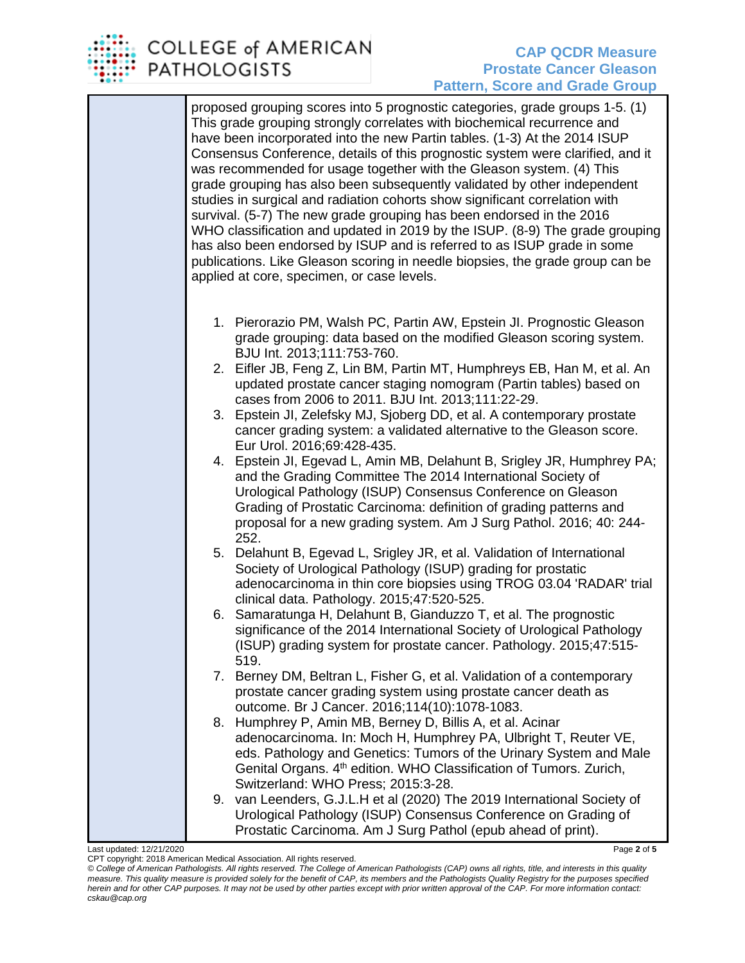

proposed grouping scores into 5 prognostic categories, grade groups 1-5. (1) This grade grouping strongly correlates with biochemical recurrence and have been incorporated into the new Partin tables. (1-3) At the 2014 ISUP Consensus Conference, details of this prognostic system were clarified, and it was recommended for usage together with the Gleason system. (4) This grade grouping has also been subsequently validated by other independent studies in surgical and radiation cohorts show significant correlation with survival. (5-7) The new grade grouping has been endorsed in the 2016 WHO classification and updated in 2019 by the ISUP. (8-9) The grade grouping has also been endorsed by ISUP and is referred to as ISUP grade in some publications. Like Gleason scoring in needle biopsies, the grade group can be applied at core, specimen, or case levels.

- 1. Pierorazio PM, Walsh PC, Partin AW, Epstein JI. Prognostic Gleason grade grouping: data based on the modified Gleason scoring system. BJU Int. 2013;111:753-760.
- 2. Eifler JB, Feng Z, Lin BM, Partin MT, Humphreys EB, Han M, et al. An updated prostate cancer staging nomogram (Partin tables) based on cases from 2006 to 2011. BJU Int. 2013;111:22-29.
- 3. Epstein JI, Zelefsky MJ, Sjoberg DD, et al. A contemporary prostate cancer grading system: a validated alternative to the Gleason score. Eur Urol. 2016;69:428-435.
- 4. Epstein JI, Egevad L, Amin MB, Delahunt B, Srigley JR, Humphrey PA; and the Grading Committee The 2014 International Society of Urological Pathology (ISUP) Consensus Conference on Gleason Grading of Prostatic Carcinoma: definition of grading patterns and proposal for a new grading system. Am J Surg Pathol. 2016; 40: 244- 252.
- 5. Delahunt B, Egevad L, Srigley JR, et al. Validation of International Society of Urological Pathology (ISUP) grading for prostatic adenocarcinoma in thin core biopsies using TROG 03.04 'RADAR' trial clinical data. Pathology. 2015;47:520-525.
- 6. Samaratunga H, Delahunt B, Gianduzzo T, et al. The prognostic significance of the 2014 International Society of Urological Pathology (ISUP) grading system for prostate cancer. Pathology. 2015;47:515- 519.
- 7. Berney DM, Beltran L, Fisher G, et al. Validation of a contemporary prostate cancer grading system using prostate cancer death as outcome. Br J Cancer. 2016;114(10):1078-1083.
- 8. Humphrey P, Amin MB, Berney D, Billis A, et al. Acinar adenocarcinoma. In: Moch H, Humphrey PA, Ulbright T, Reuter VE, eds. Pathology and Genetics: Tumors of the Urinary System and Male Genital Organs. 4<sup>th</sup> edition. WHO Classification of Tumors. Zurich, Switzerland: WHO Press; 2015:3-28.
- 9. van Leenders, G.J.L.H et al (2020) The 2019 International Society of Urological Pathology (ISUP) Consensus Conference on Grading of Prostatic Carcinoma. Am J Surg Pathol (epub ahead of print).

Last updated: 12/21/2020 Page **2** of **5** CPT copyright: 2018 American Medical Association. All rights reserved.

*<sup>©</sup> College of American Pathologists. All rights reserved. The College of American Pathologists (CAP) owns all rights, title, and interests in this quality measure. This quality measure is provided solely for the benefit of CAP, its members and the Pathologists Quality Registry for the purposes specified herein and for other CAP purposes. It may not be used by other parties except with prior written approval of the CAP. For more information contact: cskau@cap.org*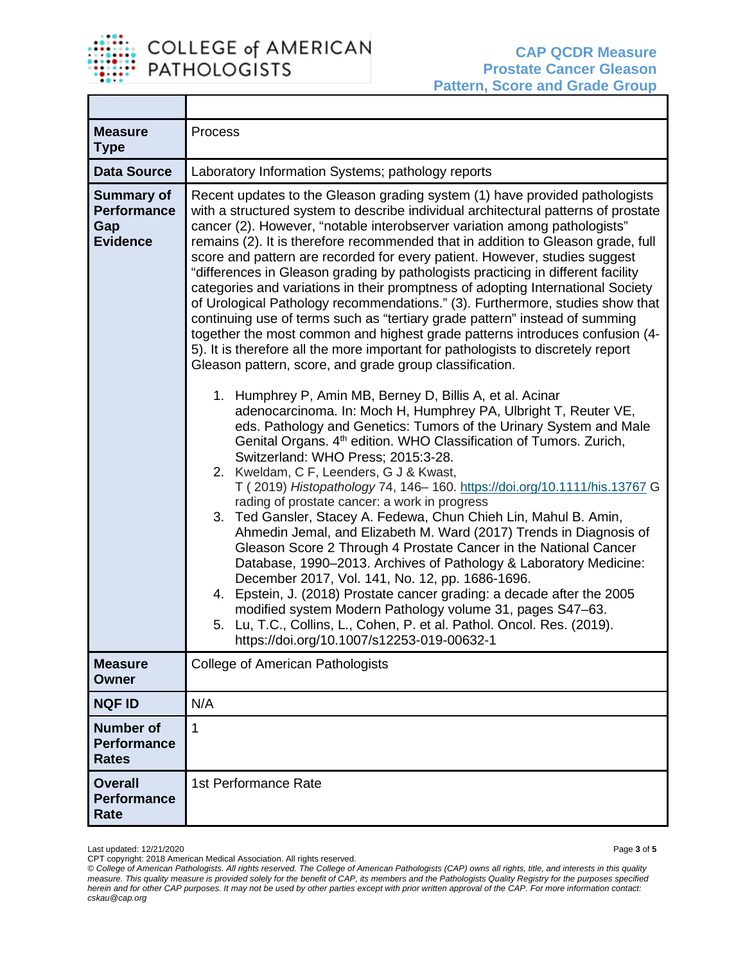

T

| <b>Measure</b><br><b>Type</b>                                     | Process                                                                                                                                                                                                                                                                                                                                                                                                                                                                                                                                                                                                                                                                                                                                                                                                                                                                                                                                                                                                                                                                                                                                                                                                                                                                                                                                                                                                                                                                                                                                                                                                                                                                                                                                                                                                                                                                                                                                                                                                                                                                                           |
|-------------------------------------------------------------------|---------------------------------------------------------------------------------------------------------------------------------------------------------------------------------------------------------------------------------------------------------------------------------------------------------------------------------------------------------------------------------------------------------------------------------------------------------------------------------------------------------------------------------------------------------------------------------------------------------------------------------------------------------------------------------------------------------------------------------------------------------------------------------------------------------------------------------------------------------------------------------------------------------------------------------------------------------------------------------------------------------------------------------------------------------------------------------------------------------------------------------------------------------------------------------------------------------------------------------------------------------------------------------------------------------------------------------------------------------------------------------------------------------------------------------------------------------------------------------------------------------------------------------------------------------------------------------------------------------------------------------------------------------------------------------------------------------------------------------------------------------------------------------------------------------------------------------------------------------------------------------------------------------------------------------------------------------------------------------------------------------------------------------------------------------------------------------------------------|
| <b>Data Source</b>                                                | Laboratory Information Systems; pathology reports                                                                                                                                                                                                                                                                                                                                                                                                                                                                                                                                                                                                                                                                                                                                                                                                                                                                                                                                                                                                                                                                                                                                                                                                                                                                                                                                                                                                                                                                                                                                                                                                                                                                                                                                                                                                                                                                                                                                                                                                                                                 |
| <b>Summary of</b><br><b>Performance</b><br>Gap<br><b>Evidence</b> | Recent updates to the Gleason grading system (1) have provided pathologists<br>with a structured system to describe individual architectural patterns of prostate<br>cancer (2). However, "notable interobserver variation among pathologists"<br>remains (2). It is therefore recommended that in addition to Gleason grade, full<br>score and pattern are recorded for every patient. However, studies suggest<br>"differences in Gleason grading by pathologists practicing in different facility<br>categories and variations in their promptness of adopting International Society<br>of Urological Pathology recommendations." (3). Furthermore, studies show that<br>continuing use of terms such as "tertiary grade pattern" instead of summing<br>together the most common and highest grade patterns introduces confusion (4-<br>5). It is therefore all the more important for pathologists to discretely report<br>Gleason pattern, score, and grade group classification.<br>1. Humphrey P, Amin MB, Berney D, Billis A, et al. Acinar<br>adenocarcinoma. In: Moch H, Humphrey PA, Ulbright T, Reuter VE,<br>eds. Pathology and Genetics: Tumors of the Urinary System and Male<br>Genital Organs. 4 <sup>th</sup> edition. WHO Classification of Tumors. Zurich,<br>Switzerland: WHO Press; 2015:3-28.<br>2. Kweldam, C F, Leenders, G J & Kwast,<br>T (2019) Histopathology 74, 146-160. https://doi.org/10.1111/his.13767 G<br>rading of prostate cancer: a work in progress<br>3. Ted Gansler, Stacey A. Fedewa, Chun Chieh Lin, Mahul B. Amin,<br>Ahmedin Jemal, and Elizabeth M. Ward (2017) Trends in Diagnosis of<br>Gleason Score 2 Through 4 Prostate Cancer in the National Cancer<br>Database, 1990-2013. Archives of Pathology & Laboratory Medicine:<br>December 2017, Vol. 141, No. 12, pp. 1686-1696.<br>4. Epstein, J. (2018) Prostate cancer grading: a decade after the 2005<br>modified system Modern Pathology volume 31, pages S47-63.<br>5. Lu, T.C., Collins, L., Cohen, P. et al. Pathol. Oncol. Res. (2019).<br>https://doi.org/10.1007/s12253-019-00632-1 |
| <b>Measure</b><br><b>Owner</b>                                    | <b>College of American Pathologists</b>                                                                                                                                                                                                                                                                                                                                                                                                                                                                                                                                                                                                                                                                                                                                                                                                                                                                                                                                                                                                                                                                                                                                                                                                                                                                                                                                                                                                                                                                                                                                                                                                                                                                                                                                                                                                                                                                                                                                                                                                                                                           |
| <b>NQF ID</b>                                                     | N/A                                                                                                                                                                                                                                                                                                                                                                                                                                                                                                                                                                                                                                                                                                                                                                                                                                                                                                                                                                                                                                                                                                                                                                                                                                                                                                                                                                                                                                                                                                                                                                                                                                                                                                                                                                                                                                                                                                                                                                                                                                                                                               |
| <b>Number of</b><br><b>Performance</b><br><b>Rates</b>            | $\overline{1}$                                                                                                                                                                                                                                                                                                                                                                                                                                                                                                                                                                                                                                                                                                                                                                                                                                                                                                                                                                                                                                                                                                                                                                                                                                                                                                                                                                                                                                                                                                                                                                                                                                                                                                                                                                                                                                                                                                                                                                                                                                                                                    |
| <b>Overall</b><br><b>Performance</b><br>Rate                      | 1st Performance Rate                                                                                                                                                                                                                                                                                                                                                                                                                                                                                                                                                                                                                                                                                                                                                                                                                                                                                                                                                                                                                                                                                                                                                                                                                                                                                                                                                                                                                                                                                                                                                                                                                                                                                                                                                                                                                                                                                                                                                                                                                                                                              |

Last updated: 12/21/2020 Page **3** of **5** CPT copyright: 2018 American Medical Association. All rights reserved.

*© College of American Pathologists. All rights reserved. The College of American Pathologists (CAP) owns all rights, title, and interests in this quality measure. This quality measure is provided solely for the benefit of CAP, its members and the Pathologists Quality Registry for the purposes specified herein and for other CAP purposes. It may not be used by other parties except with prior written approval of the CAP. For more information contact: cskau@cap.org*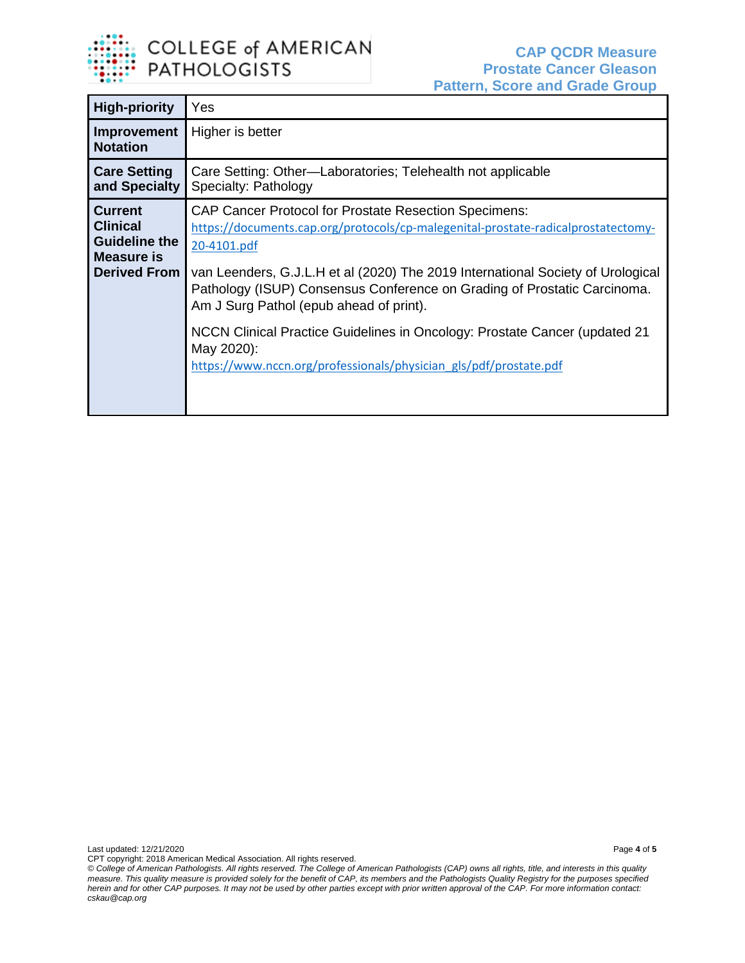

| <b>High-priority</b>                                                                           | Yes                                                                                                                                                                                                                                                                                                                                                                                                                                                                                                                                         |
|------------------------------------------------------------------------------------------------|---------------------------------------------------------------------------------------------------------------------------------------------------------------------------------------------------------------------------------------------------------------------------------------------------------------------------------------------------------------------------------------------------------------------------------------------------------------------------------------------------------------------------------------------|
| Improvement<br><b>Notation</b>                                                                 | Higher is better                                                                                                                                                                                                                                                                                                                                                                                                                                                                                                                            |
| <b>Care Setting</b><br>and Specialty                                                           | Care Setting: Other-Laboratories; Telehealth not applicable<br>Specialty: Pathology                                                                                                                                                                                                                                                                                                                                                                                                                                                         |
| <b>Current</b><br><b>Clinical</b><br><b>Guideline the</b><br>Measure is<br><b>Derived From</b> | <b>CAP Cancer Protocol for Prostate Resection Specimens:</b><br>https://documents.cap.org/protocols/cp-malegenital-prostate-radicalprostatectomy-<br>20-4101.pdf<br>van Leenders, G.J.L.H et al (2020) The 2019 International Society of Urological<br>Pathology (ISUP) Consensus Conference on Grading of Prostatic Carcinoma.<br>Am J Surg Pathol (epub ahead of print).<br>NCCN Clinical Practice Guidelines in Oncology: Prostate Cancer (updated 21<br>May 2020):<br>https://www.nccn.org/professionals/physician_gls/pdf/prostate.pdf |

*© College of American Pathologists. All rights reserved. The College of American Pathologists (CAP) owns all rights, title, and interests in this quality measure. This quality measure is provided solely for the benefit of CAP, its members and the Pathologists Quality Registry for the purposes specified herein and for other CAP purposes. It may not be used by other parties except with prior written approval of the CAP. For more information contact: cskau@cap.org*